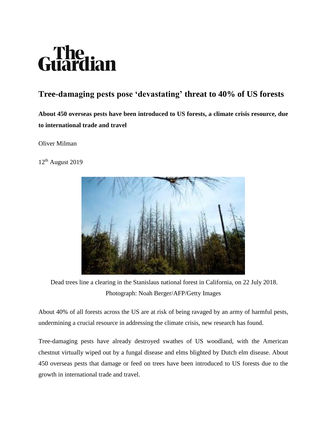## The<br>uardian

## **Tree-damaging pests pose 'devastating' threat to 40% of US forests**

**About 450 overseas pests have been introduced to US forests, a climate crisis resource, due to international trade and travel**

Oliver Milman

12th August 201[9](https://www.theguardian.com/environment/2019/aug/12/us-forests-pests-risk-climate-crisis-resource#img-1)



Dead trees line a clearing in the Stanislaus national forest in California, on 22 July 2018. Photograph: Noah Berger/AFP/Getty Images

About 40% of all forests across the US are at risk of being ravaged by an army of harmful pests, undermining a crucial resource in addressing the climate crisis, new research has found.

Tree-damaging pests have already destroyed swathes of US woodland, with the American chestnut virtually wiped out by a fungal disease and elms blighted by Dutch elm disease. About 450 overseas pests that damage or feed on trees have been introduced to US forests due to the growth in international trade and travel.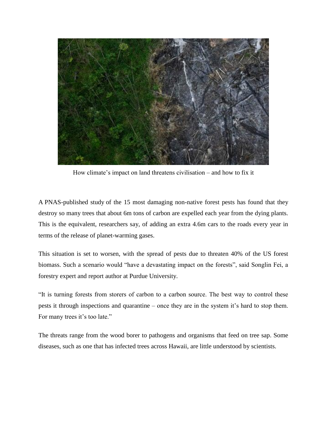

How climate's impact on land threatens civilisation – and how to fix it

A PNAS-published study of the 15 most damaging non-native forest pests has found that they destroy so many trees that about 6m tons of carbon are expelled each year from the dying plants. This is the equivalent, researchers say, of adding an extra 4.6m cars to the roads every year in terms of the release of planet-warming gases.

This situation is set to worsen, with the spread of pests due to threaten 40% of the US forest biomass. Such a scenario would "have a devastating impact on the forests", said Songlin Fei, a forestry expert and report author at Purdue University.

"It is turning forests from storers of carbon to a carbon source. The best way to control these pests it through inspections and quarantine – once they are in the system it's hard to stop them. For many trees it's too late."

The threats range from the wood borer to pathogens and organisms that feed on tree sap. Some diseases, such as one that has infected trees across Hawaii, are little understood by scientists.